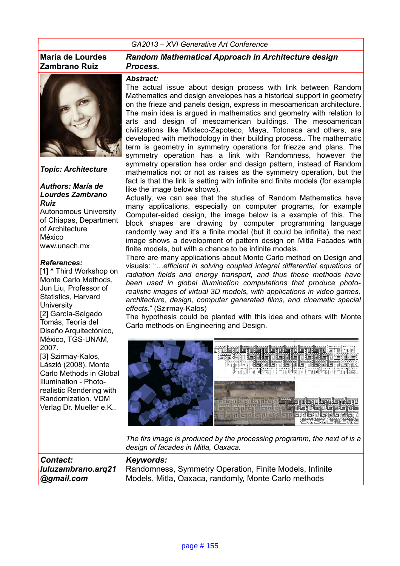#### *GA2013 – XVI Generative Art Conference*

#### **María de Lourdes Zambrano Ruiz**



*Topic: Architecture*

#### *Authors: María de Lourdes Zambrano Ruiz*

Autonomous University of Chiapas, Department of Architecture México www.unach.mx

#### *References:*

[1] ^ Third Workshop on Monte Carlo Methods, Jun Liu, Professor of Statistics, Harvard **University** [2] García-Salgado Tomás, Teoría del Diseño Arquitectónico, México, TGS-UNAM, 2007. [3] Szirmay-Kalos, László (2008). Monte Carlo Methods in Global Illumination - Photorealistic Rendering with Randomization. VDM Verlag Dr. Mueller e.K..

#### *Random Mathematical Approach in Architecture design Process.*

#### *Abstract:*

The actual issue about design process with link between Random Mathematics and design envelopes has a historical support in geometry on the frieze and panels design, express in mesoamerican architecture. The main idea is argued in mathematics and geometry with relation to arts and design of mesoamerican buildings. The mesoamerican civilizations like Mixteco-Zapoteco, Maya, Totonaca and others, are developed with methodology in their building process.. The mathematic term is geometry in symmetry operations for friezze and plans. The symmetry operation has a link with Randomness, however the symmetry operation has order and design pattern, instead of Random mathematics not or not as raises as the symmetry operation, but the fact is that the link is setting with infinite and finite models (for example like the image below shows).

Actually, we can see that the studies of Random Mathematics have many applications, especially on computer programs, for example Computer-aided design, the image below is a example of this. The block shapes are drawing by computer programming language randomly way and it's a finite model (but it could be infinite), the next image shows a development of pattern design on Mitla Facades with finite models, but with a chance to be infinite models.

There are many applications about Monte Carlo method on Design and visuals: "*…efficient in solving coupled integral differential equations of radiation fields and energy transport, and thus these methods have been used in global illumination computations that produce photorealistic images of virtual 3D models, with applications in video games, architecture, design, computer generated films, and cinematic special effects*." (Szirmay-Kalos)

The hypothesis could be planted with this idea and others with Monte Carlo methods on Engineering and Design.



*The firs image is produced by the processing programm, the next of is a design of facades in Mitla, Oaxaca.*

*Contact: luluzambrano.arq21 @gmail.com Keywords:*  Randomness, Symmetry Operation, Finite Models, Infinite Models, Mitla, Oaxaca, randomly, Monte Carlo methods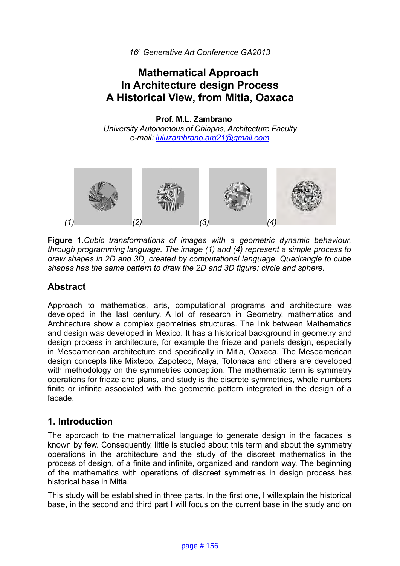# **Mathematical Approach In Architecture design Process A Historical View, from Mitla, Oaxaca**

**Prof. M.L. Zambrano** *University Autonomous of Chiapas, Architecture Faculty e-mail: [luluzambrano.arq21@gmail.com](mailto:luluzambrano.arq21@gmail.com)* 



**Figure 1.***Cubic transformations of images with a geometric dynamic behaviour, through programming language. The image (1) and (4) represent a simple process to draw shapes in 2D and 3D, created by computational language. Quadrangle to cube shapes has the same pattern to draw the 2D and 3D figure: circle and sphere.*

## **Abstract**

Approach to mathematics, arts, computational programs and architecture was developed in the last century. A lot of research in Geometry, mathematics and Architecture show a complex geometries structures. The link between Mathematics and design was developed in Mexico. It has a historical background in geometry and design process in architecture, for example the frieze and panels design, especially in Mesoamerican architecture and specifically in Mitla, Oaxaca. The Mesoamerican design concepts like Mixteco, Zapoteco, Maya, Totonaca and others are developed with methodology on the symmetries conception. The mathematic term is symmetry operations for frieze and plans, and study is the discrete symmetries, whole numbers finite or infinite associated with the geometric pattern integrated in the design of a facade.

## **1. Introduction**

The approach to the mathematical language to generate design in the facades is known by few. Consequently, little is studied about this term and about the symmetry operations in the architecture and the study of the discreet mathematics in the process of design, of a finite and infinite, organized and random way. The beginning of the mathematics with operations of discreet symmetries in design process has historical base in Mitla.

This study will be established in three parts. In the first one, I willexplain the historical base, in the second and third part I will focus on the current base in the study and on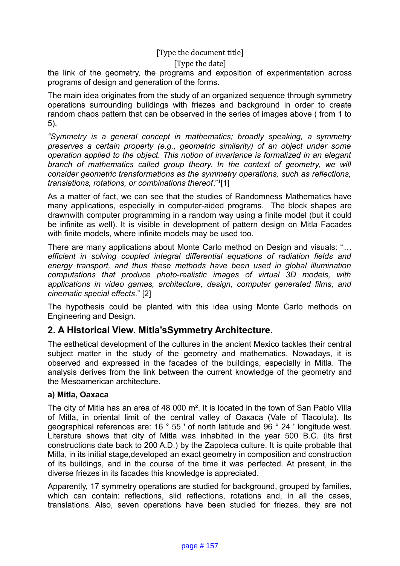#### [Type the date]

the link of the geometry, the programs and exposition of experimentation across programs of design and generation of the forms.

The main idea originates from the study of an organized sequence through symmetry operations surrounding buildings with friezes and background in order to create random chaos pattern that can be observed in the series of images above ( from 1 to 5).

*"Symmetry is a general concept in mathematics; broadly speaking, a symmetry preserves a certain property (e.g., geometric similarity) of an object under some operation applied to the object. This notion of invariance is formalized in an elegant branch of mathematics called group theory. In the context of geometry, we will consider geometric transformations as the symmetry operations, such as reflections, translations, rotations, or combinations thereof*."[1](#page-11-0) [1]

As a matter of fact, we can see that the studies of Randomness Mathematics have many applications, especially in computer-aided programs. The block shapes are drawnwith computer programming in a random way using a finite model (but it could be infinite as well). It is visible in development of pattern design on Mitla Facades with finite models, where infinite models may be used too.

There are many applications about Monte Carlo method on Design and visuals: "*… efficient in solving coupled integral differential equations of radiation fields and energy transport, and thus these methods have been used in global illumination computations that produce photo-realistic images of virtual 3D models, with applications in video games, architecture, design, computer generated films, and cinematic special effects*." [2]

The hypothesis could be planted with this idea using Monte Carlo methods on Engineering and Design.

### **2. A Historical View. Mitla'sSymmetry Architecture.**

The esthetical development of the cultures in the ancient Mexico tackles their central subject matter in the study of the geometry and mathematics. Nowadays, it is observed and expressed in the facades of the buildings, especially in Mitla. The analysis derives from the link between the current knowledge of the geometry and the Mesoamerican architecture.

#### **a) Mitla, Oaxaca**

The city of Mitla has an area of 48 000 m<sup>2</sup>. It is located in the town of San Pablo Villa of Mitla, in oriental limit of the central valley of Oaxaca (Vale of Tlacolula). Its geographical references are: 16 ° 55 ' of north latitude and 96 ° 24 ' longitude west. Literature shows that city of Mitla was inhabited in the year 500 B.C. (its first constructions date back to 200 A.D.) by the Zapoteca culture. It is quite probable that Mitla, in its initial stage,developed an exact geometry in composition and construction of its buildings, and in the course of the time it was perfected. At present, in the diverse friezes in its facades this knowledge is appreciated.

Apparently, 17 symmetry operations are studied for background, grouped by families, which can contain: reflections, slid reflections, rotations and, in all the cases, translations. Also, seven operations have been studied for friezes, they are not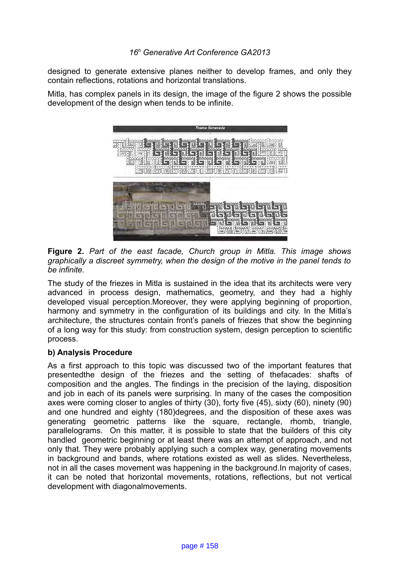designed to generate extensive planes neither to develop frames, and only they contain reflections, rotations and horizontal translations.

Mitla, has complex panels in its design, the image of the figure 2 shows the possible development of the design when tends to be infinite.



**Figure 2.** *Part of the east facade, Church group in Mitla. This image shows graphically a discreet symmetry, when the design of the motive in the panel tends to be infinite.*

The study of the friezes in Mitla is sustained in the idea that its architects were very advanced in process design, mathematics, geometry, and they had a highly developed visual perception.Moreover, they were applying beginning of proportion, harmony and symmetry in the configuration of its buildings and city. In the Mitla's architecture, the structures contain front's panels of friezes that show the beginning of a long way for this study: from construction system, design perception to scientific process.

#### **b) Analysis Procedure**

As a first approach to this topic was discussed two of the important features that presentedthe design of the friezes and the setting of thefacades: shafts of composition and the angles. The findings in the precision of the laying, disposition and job in each of its panels were surprising. In many of the cases the composition axes were coming closer to angles of thirty (30), forty five (45), sixty (60), ninety (90) and one hundred and eighty (180)degrees, and the disposition of these axes was generating geometric patterns like the square, rectangle, rhomb, triangle, parallelograms. On this matter, it is possible to state that the builders of this city handled geometric beginning or at least there was an attempt of approach, and not only that. They were probably applying such a complex way, generating movements in background and bands, where rotations existed as well as slides. Nevertheless, not in all the cases movement was happening in the background.In majority of cases, it can be noted that horizontal movements, rotations, reflections, but not vertical development with diagonalmovements.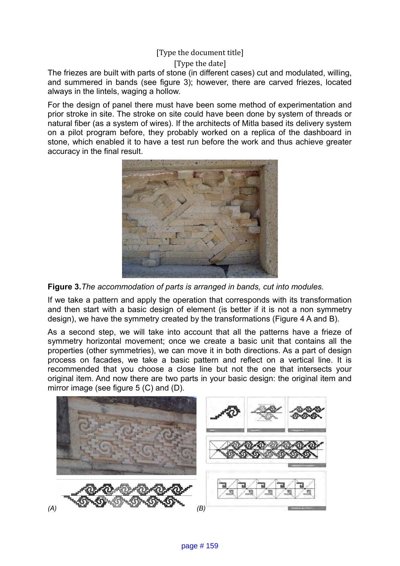[Type the date]

The friezes are built with parts of stone (in different cases) cut and modulated, willing, and summered in bands (see figure 3); however, there are carved friezes, located always in the lintels, waging a hollow.

For the design of panel there must have been some method of experimentation and prior stroke in site. The stroke on site could have been done by system of threads or natural fiber (as a system of wires). If the architects of Mitla based its delivery system on a pilot program before, they probably worked on a replica of the dashboard in stone, which enabled it to have a test run before the work and thus achieve greater accuracy in the final result.



**Figure 3.***The accommodation of parts is arranged in bands, cut into modules.*

If we take a pattern and apply the operation that corresponds with its transformation and then start with a basic design of element (is better if it is not a non symmetry design), we have the symmetry created by the transformations (Figure 4 A and B).

As a second step, we will take into account that all the patterns have a frieze of symmetry horizontal movement; once we create a basic unit that contains all the properties (other symmetries), we can move it in both directions. As a part of design process on facades, we take a basic pattern and reflect on a vertical line. It is recommended that you choose a close line but not the one that intersects your original item. And now there are two parts in your basic design: the original item and mirror image (see figure 5 (C) and (D).

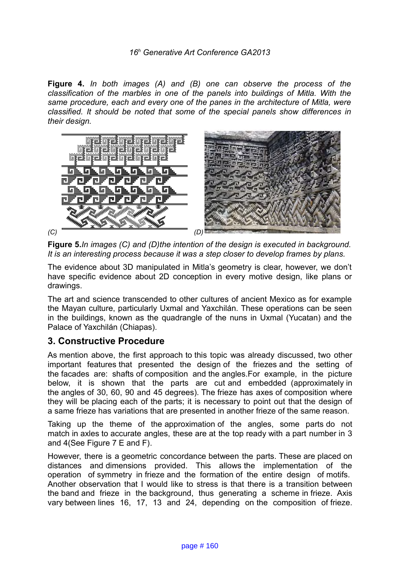**Figure 4.** *In both images (A) and (B) one can observe the process of the classification of the marbles in one of the panels into buildings of Mitla. With the same procedure, each and every one of the panes in the architecture of Mitla, were classified. It should be noted that some of the special panels show differences in their design.*



**Figure 5.***In images (C) and (D)the intention of the design is executed in background. It is an interesting process because it was a step closer to develop frames by plans.*

The evidence about 3D manipulated in Mitla's geometry is clear, however, we don't have specific evidence about 2D conception in every motive design, like plans or drawings.

The art and science transcended to other cultures of ancient Mexico as for example the Mayan culture, particularly Uxmal and Yaxchilán. These operations can be seen in the buildings, known as the quadrangle of the nuns in Uxmal (Yucatan) and the Palace of Yaxchilán (Chiapas).

## **3. Constructive Procedure**

As mention above, the first approach to this topic was already discussed, two other important features that presented the design of the friezes and the setting of the facades are: shafts of composition and the angles.For example, in the picture below, it is shown that the parts are cut and embedded (approximately in the angles of 30, 60, 90 and 45 degrees). The frieze has axes of composition where they will be placing each of the parts; it is necessary to point out that the design of a same frieze has variations that are presented in another frieze of the same reason.

Taking up the theme of the approximation of the angles, some parts do not match in axles to accurate angles, these are at the top ready with a part number in 3 and 4(See Figure 7 E and F).

However, there is a geometric concordance between the parts. These are placed on distances and dimensions provided. This allows the implementation of the operation of symmetry in frieze and the formation of the entire design of motifs. Another observation that I would like to stress is that there is a transition between the band and frieze in the background, thus generating a scheme in frieze. Axis vary between lines 16, 17, 13 and 24, depending on the composition of frieze.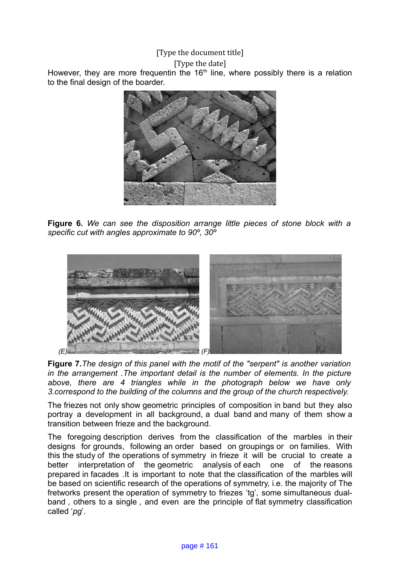[Type the date]

However, they are more frequentin the  $16<sup>th</sup>$  line, where possibly there is a relation to the final design of the boarder.



**Figure 6.** *We can see the disposition arrange little pieces of stone block with a specific cut with angles approximate to 90º, 30º*



**Figure 7.***The design of this panel with the motif of the "serpent" is another variation in the arrangement .The important detail is the number of elements. In the picture above, there are 4 triangles while in the photograph below we have only 3.correspond to the building of the columns and the group of the church respectively.*

The friezes not only show geometric principles of composition in band but they also portray a development in all background, a dual band and many of them show a transition between frieze and the background.

The foregoing description derives from the classification of the marbles in their designs for grounds, following an order based on groupings or on families. With this the study of the operations of symmetry in frieze it will be crucial to create a better interpretation of the geometric analysis of each one of the reasons prepared in facades .It is important to note that the classification of the marbles will be based on scientific research of the operations of symmetry, i.e. the majority of The fretworks present the operation of symmetry to friezes 'tg', some simultaneous dualband , others to a single , and even are the principle of flat symmetry classification called '*pg*'.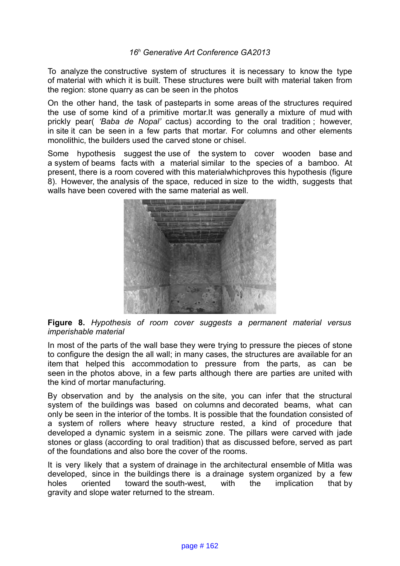To analyze the constructive system of structures it is necessary to know the type of material with which it is built. These structures were built with material taken from the region: stone quarry as can be seen in the photos

On the other hand, the task of pasteparts in some areas of the structures required the use of some kind of a primitive mortar.It was generally a mixture of mud with prickly pear( *'Baba de Nopal'* cactus) according to the oral tradition ; however, in site it can be seen in a few parts that mortar. For columns and other elements monolithic, the builders used the carved stone or chisel.

Some hypothesis suggest the use of the system to cover wooden base and a system of beams facts with a material similar to the species of a bamboo. At present, there is a room covered with this materialwhichproves this hypothesis (figure 8). However, the analysis of the space, reduced in size to the width, suggests that walls have been covered with the same material as well.



**Figure 8.** *Hypothesis of room cover suggests a permanent material versus imperishable material*

In most of the parts of the wall base they were trying to pressure the pieces of stone to configure the design the all wall; in many cases, the structures are available for an item that helped this accommodation to pressure from the parts, as can be seen in the photos above, in a few parts although there are parties are united with the kind of mortar manufacturing.

By observation and by the analysis on the site, you can infer that the structural system of the buildings was based on columns and decorated beams, what can only be seen in the interior of the tombs. It is possible that the foundation consisted of a system of rollers where heavy structure rested, a kind of procedure that developed a dynamic system in a seismic zone. The pillars were carved with jade stones or glass (according to oral tradition) that as discussed before, served as part of the foundations and also bore the cover of the rooms.

It is very likely that a system of drainage in the architectural ensemble of Mitla was developed, since in the buildings there is a drainage system organized by a few holes oriented toward the south-west, with the implication that by gravity and slope water returned to the stream.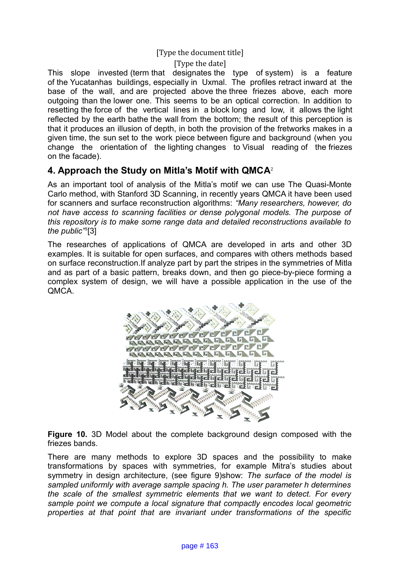[Type the date]

This slope invested (term that designates the type of system) is a feature of the Yucatanhas buildings, especially in Uxmal. The profiles retract inward at the base of the wall, and are projected above the three friezes above, each more outgoing than the lower one. This seems to be an optical correction. In addition to resetting the force of the vertical lines in a block long and low, it allows the light reflected by the earth bathe the wall from the bottom; the result of this perception is that it produces an illusion of depth, in both the provision of the fretworks makes in a given time, the sun set to the work piece between figure and background (when you change the orientation of the lighting changes to Visual reading of the friezes on the facade).

## **4. Approach the Study on Mitla's Motif with QMCA**[2](#page-11-1)

As an important tool of analysis of the Mitla's motif we can use The Quasi-Monte Carlo method, with Stanford 3D Scanning, in recently years QMCA it have been used for scanners and surface reconstruction algorithms: *"Many researchers, however, do not have access to scanning facilities or dense polygonal models. The purpose of this repository is to make some range data and detailed reconstructions available to the public"*[3](#page-11-2) [3]

The researches of applications of QMCA are developed in arts and other 3D examples. It is suitable for open surfaces, and compares with others methods based on surface reconstruction.If analyze part by part the stripes in the symmetries of Mitla and as part of a basic pattern, breaks down, and then go piece-by-piece forming a complex system of design, we will have a possible application in the use of the QMCA.



**Figure 10.** 3D Model about the complete background design composed with the friezes bands.

There are many methods to explore 3D spaces and the possibility to make transformations by spaces with symmetries, for example Mitra's studies about symmetry in design architecture, (see figure 9)show: *The surface of the model is sampled uniformly with average sample spacing h. The user parameter h determines the scale of the smallest symmetric elements that we want to detect. For every sample point we compute a local signature that compactly encodes local geometric properties at that point that are invariant under transformations of the specific*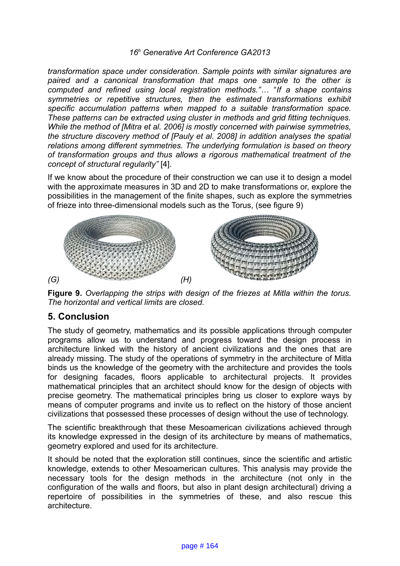*transformation space under consideration. Sample points with similar signatures are paired and a canonical transformation that maps one sample to the other is computed and refined using local registration methods."*… "*If a shape contains symmetries or repetitive structures, then the estimated transformations exhibit specific accumulation patterns when mapped to a suitable transformation space. These patterns can be extracted using cluster in methods and grid fitting techniques. While the method of [Mitra et al. 2006] is mostly concerned with pairwise symmetries, the structure discovery method of [Pauly et al. 2008] in addition analyses the spatial relations among different symmetries. The underlying formulation is based on theory of transformation groups and thus allows a rigorous mathematical treatment of the concept of structural regularity"* [4].

If we know about the procedure of their construction we can use it to design a model with the approximate measures in 3D and 2D to make transformations or, explore the possibilities in the management of the finite shapes, such as explore the symmetries of frieze into three-dimensional models such as the Torus, (see figure 9)



**Figure 9.** *Overlapping the strips with design of the friezes at Mitla within the torus. The horizontal and vertical limits are closed.*

## **5. Conclusion**

The study of geometry, mathematics and its possible applications through computer programs allow us to understand and progress toward the design process in architecture linked with the history of ancient civilizations and the ones that are already missing. The study of the operations of symmetry in the architecture of Mitla binds us the knowledge of the geometry with the architecture and provides the tools for designing facades, floors applicable to architectural projects. It provides mathematical principles that an architect should know for the design of objects with precise geometry. The mathematical principles bring us closer to explore ways by means of computer programs and invite us to reflect on the history of those ancient civilizations that possessed these processes of design without the use of technology.

The scientific breakthrough that these Mesoamerican civilizations achieved through its knowledge expressed in the design of its architecture by means of mathematics, geometry explored and used for its architecture.

It should be noted that the exploration still continues, since the scientific and artistic knowledge, extends to other Mesoamerican cultures. This analysis may provide the necessary tools for the design methods in the architecture (not only in the configuration of the walls and floors, but also in plant design architectural) driving a repertoire of possibilities in the symmetries of these, and also rescue this architecture.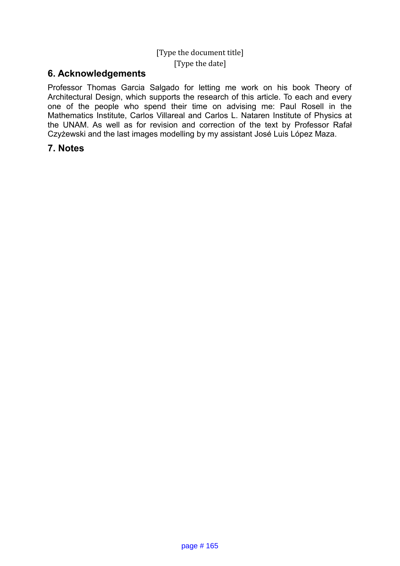## [Type the document title] [Type the date]

## **6. Acknowledgements**

Professor Thomas Garcia Salgado for letting me work on his book Theory of Architectural Design, which supports the research of this article. To each and every one of the people who spend their time on advising me: Paul Rosell in the Mathematics Institute, Carlos Villareal and Carlos L. Nataren Institute of Physics at the UNAM. As well as for revision and correction of the text by Professor Rafał Czyżewski and the last images modelling by my assistant José Luis López Maza.

### **7. Notes**